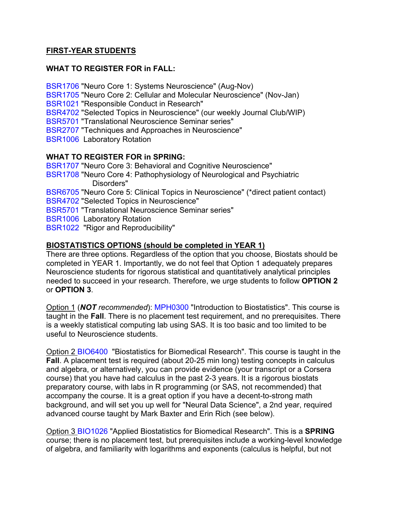### **FIRST-YEAR STUDENTS**

### **WHAT TO REGISTER FOR in FALL:**

BSR1706 "Neuro Core 1: Systems Neuroscience" (Aug-Nov) BSR1705 "Neuro Core 2: Cellular and Molecular Neuroscience" (Nov-Jan) BSR1021 "Responsible Conduct in Research" BSR4702 "Selected Topics in Neuroscience" (our weekly Journal Club/WIP) BSR5701 "Translational Neuroscience Seminar series" BSR2707 "Techniques and Approaches in Neuroscience" BSR1006 Laboratory Rotation **WHAT TO REGISTER FOR in SPRING:** BSR1707 "Neuro Core 3: Behavioral and Cognitive Neuroscience"

BSR1708 "Neuro Core 4: Pathophysiology of Neurological and Psychiatric Disorders" BSR6705 "Neuro Core 5: Clinical Topics in Neuroscience" (\*direct patient contact) BSR4702 "Selected Topics in Neuroscience" BSR5701 "Translational Neuroscience Seminar series" BSR1006 Laboratory Rotation BSR1022 "Rigor and Reproducibility"

### **BIOSTATISTICS OPTIONS (should be completed in YEAR 1)**

There are three options. Regardless of the option that you choose, Biostats should be completed in YEAR 1. Importantly, we do not feel that Option 1 adequately prepares Neuroscience students for rigorous statistical and quantitatively analytical principles needed to succeed in your research. Therefore, we urge students to follow **OPTION 2** or **OPTION 3**.

Option 1 (*NOT recommended*): MPH0300 "Introduction to Biostatistics". This course is taught in the **Fall**. There is no placement test requirement, and no prerequisites. There is a weekly statistical computing lab using SAS. It is too basic and too limited to be useful to Neuroscience students.

Option 2 BIO6400 "Biostatistics for Biomedical Research". This course is taught in the **Fall**. A placement test is required (about 20-25 min long) testing concepts in calculus and algebra, or alternatively, you can provide evidence (your transcript or a Corsera course) that you have had calculus in the past 2-3 years. It is a rigorous biostats preparatory course, with labs in R programming (or SAS, not recommended) that accompany the course. It is a great option if you have a decent-to-strong math background, and will set you up well for "Neural Data Science", a 2nd year, required advanced course taught by Mark Baxter and Erin Rich (see below).

Option 3 BIO1026 "Applied Biostatistics for Biomedical Research". This is a **SPRING** course; there is no placement test, but prerequisites include a working-level knowledge of algebra, and familiarity with logarithms and exponents (calculus is helpful, but not